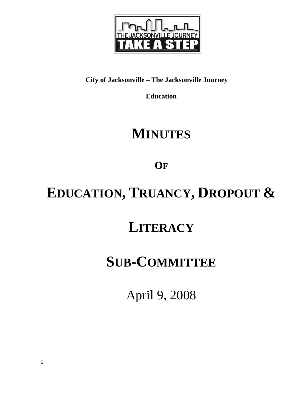

## **City of Jacksonville – The Jacksonville Journey**

**Education** 

# **MINUTES**

**OF**

# **EDUCATION, TRUANCY, DROPOUT &**

## **LITERACY**

## **SUB-COMMITTEE**

April 9, 2008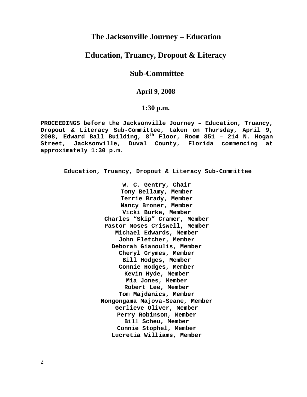### **The Jacksonville Journey – Education**

### **Education, Truancy, Dropout & Literacy**

### **Sub-Committee**

#### **April 9, 2008**

#### **1:30 p.m.**

**PROCEEDINGS before the Jacksonville Journey – Education, Truancy, Dropout & Literacy Sub-Committee, taken on Thursday, April 9, 2008, Edward Ball Building, 8th Floor, Room 851 – 214 N. Hogan Street, Jacksonville, Duval County, Florida commencing at approximately 1:30 p.m.** 

**Education, Truancy, Dropout & Literacy Sub-Committee** 

**W. C. Gentry, Chair Tony Bellamy, Member Terrie Brady, Member Nancy Broner, Member Vicki Burke, Member Charles "Skip" Cramer, Member Pastor Moses Criswell, Member Michael Edwards, Member John Fletcher, Member Deborah Gianoulis, Member Cheryl Grymes, Member Bill Hodges, Member Connie Hodges, Member Kevin Hyde, Member Mia Jones, Member Robert Lee, Member Tom Majdanics, Member Nongongama Majova-Seane, Member Gerlieve Oliver, Member Perry Robinson, Member Bill Scheu, Member Connie Stophel, Member Lucretia Williams, Member**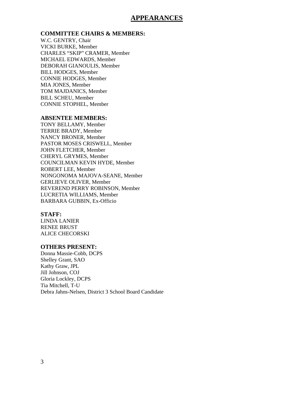#### **APPEARANCES**

#### **COMMITTEE CHAIRS & MEMBERS:**

W.C. GENTRY, Chair VICKI BURKE, Member CHARLES "SKIP" CRAMER, Member MICHAEL EDWARDS, Member DEBORAH GIANOULIS, Member BILL HODGES, Member CONNIE HODGES, Member MIA JONES, Member TOM MAJDANICS, Member BILL SCHEU, Member CONNIE STOPHEL, Member

#### **ABSENTEE MEMBERS:**

TONY BELLAMY, Member TERRIE BRADY, Member NANCY BRONER, Member PASTOR MOSES CRISWELL, Member JOHN FLETCHER, Member CHERYL GRYMES, Member COUNCILMAN KEVIN HYDE, Member ROBERT LEE, Member NONGONOMA MAJOVA-SEANE, Member GERLIEVE OLIVER, Member REVEREND PERRY ROBINSON, Member LUCRETIA WILLIAMS, Member BARBARA GUBBIN, Ex-Officio

#### **STAFF:**

LINDA LANIER RENEE BRUST ALICE CHECORSKI

#### **OTHERS PRESENT:**

Donna Massie-Cobb, DCPS Shelley Grant, SAO Kathy Graw, JPL Jill Johnson, COJ Gloria Lockley, DCPS Tia Mitchell, T-U Debra Jahns-Nelsen, District 3 School Board Candidate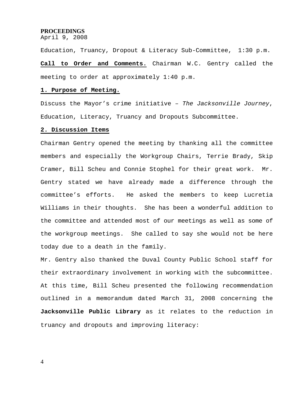#### **PROCEEDINGS**

April 9, 2008

Education, Truancy, Dropout & Literacy Sub-Committee, 1:30 p.m.

**Call to Order and Comments.** Chairman W.C. Gentry called the meeting to order at approximately 1:40 p.m.

#### **1. Purpose of Meeting.**

Discuss the Mayor's crime initiative – *The Jacksonville Journey*, Education, Literacy, Truancy and Dropouts Subcommittee.

#### **2. Discussion Items**

Chairman Gentry opened the meeting by thanking all the committee members and especially the Workgroup Chairs, Terrie Brady, Skip Cramer, Bill Scheu and Connie Stophel for their great work. Mr. Gentry stated we have already made a difference through the committee's efforts. He asked the members to keep Lucretia Williams in their thoughts. She has been a wonderful addition to the committee and attended most of our meetings as well as some of the workgroup meetings. She called to say she would not be here today due to a death in the family.

Mr. Gentry also thanked the Duval County Public School staff for their extraordinary involvement in working with the subcommittee. At this time, Bill Scheu presented the following recommendation outlined in a memorandum dated March 31, 2008 concerning the **Jacksonville Public Library** as it relates to the reduction in truancy and dropouts and improving literacy: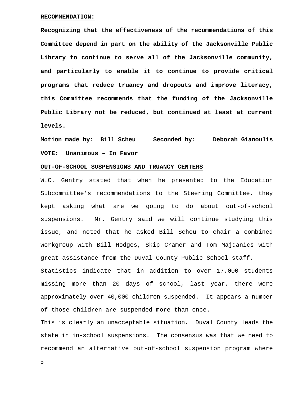#### **RECOMMENDATION:**

**Recognizing that the effectiveness of the recommendations of this Committee depend in part on the ability of the Jacksonville Public Library to continue to serve all of the Jacksonville community, and particularly to enable it to continue to provide critical programs that reduce truancy and dropouts and improve literacy, this Committee recommends that the funding of the Jacksonville Public Library not be reduced, but continued at least at current levels.** 

**Motion made by: Bill Scheu Seconded by: Deborah Gianoulis VOTE: Unanimous – In Favor** 

#### **OUT-OF-SCHOOL SUSPENSIONS AND TRUANCY CENTERS**

W.C. Gentry stated that when he presented to the Education Subcommittee's recommendations to the Steering Committee, they kept asking what are we going to do about out-of-school suspensions. Mr. Gentry said we will continue studying this issue, and noted that he asked Bill Scheu to chair a combined workgroup with Bill Hodges, Skip Cramer and Tom Majdanics with great assistance from the Duval County Public School staff. Statistics indicate that in addition to over 17,000 students missing more than 20 days of school, last year, there were approximately over 40,000 children suspended. It appears a number

of those children are suspended more than once.

This is clearly an unacceptable situation. Duval County leads the state in in-school suspensions. The consensus was that we need to recommend an alternative out-of-school suspension program where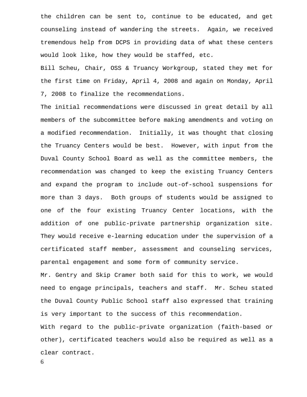the children can be sent to, continue to be educated, and get counseling instead of wandering the streets. Again, we received tremendous help from DCPS in providing data of what these centers would look like, how they would be staffed, etc.

Bill Scheu, Chair, OSS & Truancy Workgroup, stated they met for the first time on Friday, April 4, 2008 and again on Monday, April 7, 2008 to finalize the recommendations.

The initial recommendations were discussed in great detail by all members of the subcommittee before making amendments and voting on a modified recommendation. Initially, it was thought that closing the Truancy Centers would be best. However, with input from the Duval County School Board as well as the committee members, the recommendation was changed to keep the existing Truancy Centers and expand the program to include out-of-school suspensions for more than 3 days. Both groups of students would be assigned to one of the four existing Truancy Center locations, with the addition of one public-private partnership organization site. They would receive e-learning education under the supervision of a certificated staff member, assessment and counseling services, parental engagement and some form of community service.

Mr. Gentry and Skip Cramer both said for this to work, we would need to engage principals, teachers and staff. Mr. Scheu stated the Duval County Public School staff also expressed that training is very important to the success of this recommendation. With regard to the public-private organization (faith-based or other), certificated teachers would also be required as well as a

clear contract.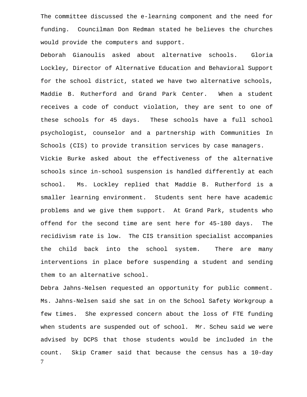The committee discussed the e-learning component and the need for funding. Councilman Don Redman stated he believes the churches would provide the computers and support.

Deborah Gianoulis asked about alternative schools. Gloria Lockley, Director of Alternative Education and Behavioral Support for the school district, stated we have two alternative schools, Maddie B. Rutherford and Grand Park Center. When a student receives a code of conduct violation, they are sent to one of these schools for 45 days. These schools have a full school psychologist, counselor and a partnership with Communities In Schools (CIS) to provide transition services by case managers. Vickie Burke asked about the effectiveness of the alternative schools since in-school suspension is handled differently at each school. Ms. Lockley replied that Maddie B. Rutherford is a smaller learning environment. Students sent here have academic problems and we give them support. At Grand Park, students who offend for the second time are sent here for 45-180 days. The recidivism rate is low. The CIS transition specialist accompanies the child back into the school system. There are many interventions in place before suspending a student and sending them to an alternative school.

7 Debra Jahns-Nelsen requested an opportunity for public comment. Ms. Jahns-Nelsen said she sat in on the School Safety Workgroup a few times. She expressed concern about the loss of FTE funding when students are suspended out of school. Mr. Scheu said we were advised by DCPS that those students would be included in the count. Skip Cramer said that because the census has a 10-day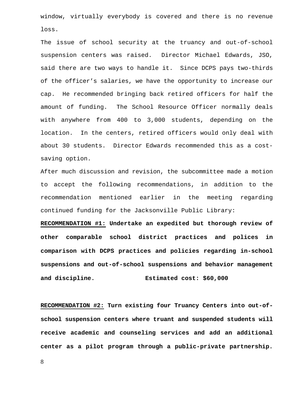window, virtually everybody is covered and there is no revenue loss.

The issue of school security at the truancy and out-of-school suspension centers was raised. Director Michael Edwards, JSO, said there are two ways to handle it. Since DCPS pays two-thirds of the officer's salaries, we have the opportunity to increase our cap. He recommended bringing back retired officers for half the amount of funding. The School Resource Officer normally deals with anywhere from 400 to 3,000 students, depending on the location. In the centers, retired officers would only deal with about 30 students. Director Edwards recommended this as a costsaving option.

After much discussion and revision, the subcommittee made a motion to accept the following recommendations, in addition to the recommendation mentioned earlier in the meeting regarding continued funding for the Jacksonville Public Library:

**RECOMMENDATION #1: Undertake an expedited but thorough review of other comparable school district practices and polices in comparison with DCPS practices and policies regarding in-school suspensions and out-of-school suspensions and behavior management and discipline. Estimated cost: \$60,000** 

**RECOMMENDATION #2: Turn existing four Truancy Centers into out-ofschool suspension centers where truant and suspended students will receive academic and counseling services and add an additional center as a pilot program through a public-private partnership.**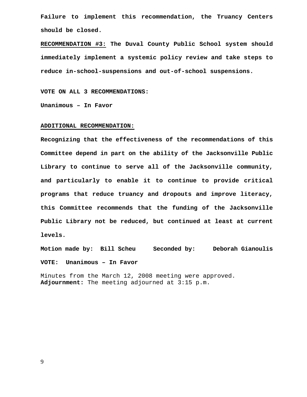**Failure to implement this recommendation, the Truancy Centers should be closed.** 

**RECOMMENDATION #3: The Duval County Public School system should immediately implement a systemic policy review and take steps to reduce in-school-suspensions and out-of-school suspensions.** 

**VOTE ON ALL 3 RECOMMENDATIONS:** 

**Unanimous – In Favor** 

#### **ADDITIONAL RECOMMENDATION:**

**Recognizing that the effectiveness of the recommendations of this Committee depend in part on the ability of the Jacksonville Public Library to continue to serve all of the Jacksonville community, and particularly to enable it to continue to provide critical programs that reduce truancy and dropouts and improve literacy, this Committee recommends that the funding of the Jacksonville Public Library not be reduced, but continued at least at current levels.** 

**Motion made by: Bill Scheu Seconded by: Deborah Gianoulis VOTE: Unanimous – In Favor** 

Minutes from the March 12, 2008 meeting were approved. **Adjournment:** The meeting adjourned at 3:15 p.m.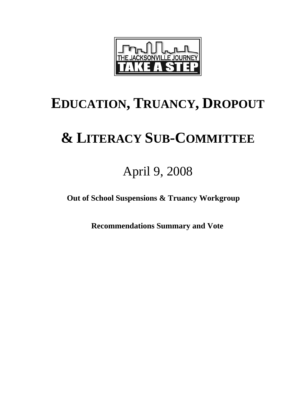

# **EDUCATION, TRUANCY, DROPOUT**

# **& LITERACY SUB-COMMITTEE**

## April 9, 2008

**Out of School Suspensions & Truancy Workgroup** 

 **Recommendations Summary and Vote**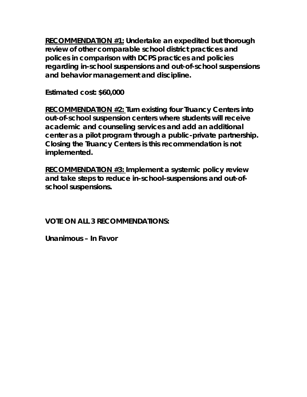**RECOMMENDATION #1: Undertake an expedited but thorough review of other comparable school district practices and polices in comparison with DCPS practices and policies regarding in-school suspensions and out-of-school suspensions and behavior management and discipline.** 

**Estimated cost: \$60,000** 

**RECOMMENDATION #2: Turn existing four Truancy Centers into out-of-school suspension centers where students will receive academic and counseling services and add an additional center as a pilot program through a public-private partnership. Closing the Truancy Centers is this recommendation is not implemented.** 

**RECOMMENDATION #3: Implement a systemic policy review and take steps to reduce in-school-suspensions and out-ofschool suspensions.** 

**VOTE ON ALL 3 RECOMMENDATIONS:** 

**Unanimous – In Favor**